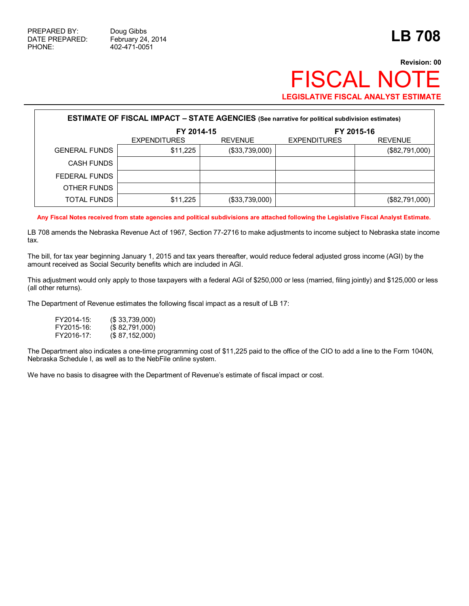## **Revision: 00 FISCAL NOT LEGISLATIVE FISCAL ANALYST ESTIMATE**

| <b>ESTIMATE OF FISCAL IMPACT - STATE AGENCIES</b> (See narrative for political subdivision estimates) |                                       |                |                     |                |  |  |  |
|-------------------------------------------------------------------------------------------------------|---------------------------------------|----------------|---------------------|----------------|--|--|--|
|                                                                                                       | FY 2014-15                            |                | FY 2015-16          |                |  |  |  |
|                                                                                                       | <b>REVENUE</b><br><b>EXPENDITURES</b> |                | <b>EXPENDITURES</b> | <b>REVENUE</b> |  |  |  |
| <b>GENERAL FUNDS</b>                                                                                  | \$11,225                              | (\$33,739,000) |                     | (\$82,791,000) |  |  |  |
| <b>CASH FUNDS</b>                                                                                     |                                       |                |                     |                |  |  |  |
| FEDERAL FUNDS                                                                                         |                                       |                |                     |                |  |  |  |
| OTHER FUNDS                                                                                           |                                       |                |                     |                |  |  |  |
| TOTAL FUNDS                                                                                           | \$11,225                              | (\$33,739,000) |                     | (\$82,791,000) |  |  |  |

**Any Fiscal Notes received from state agencies and political subdivisions are attached following the Legislative Fiscal Analyst Estimate.**

LB 708 amends the Nebraska Revenue Act of 1967, Section 77-2716 to make adjustments to income subject to Nebraska state income tax.

The bill, for tax year beginning January 1, 2015 and tax years thereafter, would reduce federal adjusted gross income (AGI) by the amount received as Social Security benefits which are included in AGI.

This adjustment would only apply to those taxpayers with a federal AGI of \$250,000 or less (married, filing jointly) and \$125,000 or less (all other returns).

The Department of Revenue estimates the following fiscal impact as a result of LB 17:

| FY2014-15: | (S.33,739,000)   |
|------------|------------------|
| FY2015-16: | (\$82,791,000)   |
| FY2016-17: | (S 87, 152, 000) |

The Department also indicates a one-time programming cost of \$11,225 paid to the office of the CIO to add a line to the Form 1040N, Nebraska Schedule I, as well as to the NebFile online system.

We have no basis to disagree with the Department of Revenue's estimate of fiscal impact or cost.